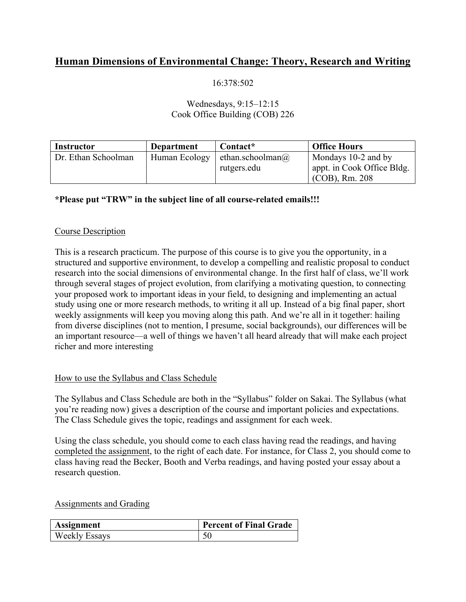# **Human Dimensions of Environmental Change: Theory, Research and Writing**

## 16:378:502

### Wednesdays, 9:15–12:15 Cook Office Building (COB) 226

| <b>Instructor</b>   | <b>Department</b> | Contact*                 | <b>Office Hours</b>        |
|---------------------|-------------------|--------------------------|----------------------------|
| Dr. Ethan Schoolman | Human Ecology     | ethan.schoolman $\omega$ | Mondays 10-2 and by        |
|                     |                   | rutgers.edu              | appt. in Cook Office Bldg. |
|                     |                   |                          | $(COB)$ , Rm. 208          |

## **\*Please put "TRW" in the subject line of all course-related emails!!!**

#### Course Description

This is a research practicum. The purpose of this course is to give you the opportunity, in a structured and supportive environment, to develop a compelling and realistic proposal to conduct research into the social dimensions of environmental change. In the first half of class, we'll work through several stages of project evolution, from clarifying a motivating question, to connecting your proposed work to important ideas in your field, to designing and implementing an actual study using one or more research methods, to writing it all up. Instead of a big final paper, short weekly assignments will keep you moving along this path. And we're all in it together: hailing from diverse disciplines (not to mention, I presume, social backgrounds), our differences will be an important resource—a well of things we haven't all heard already that will make each project richer and more interesting

#### How to use the Syllabus and Class Schedule

The Syllabus and Class Schedule are both in the "Syllabus" folder on Sakai. The Syllabus (what you're reading now) gives a description of the course and important policies and expectations. The Class Schedule gives the topic, readings and assignment for each week.

Using the class schedule, you should come to each class having read the readings, and having completed the assignment, to the right of each date. For instance, for Class 2, you should come to class having read the Becker, Booth and Verba readings, and having posted your essay about a research question.

Assignments and Grading

| Assignment           | <b>Percent of Final Grade</b> |
|----------------------|-------------------------------|
| <b>Weekly Essays</b> |                               |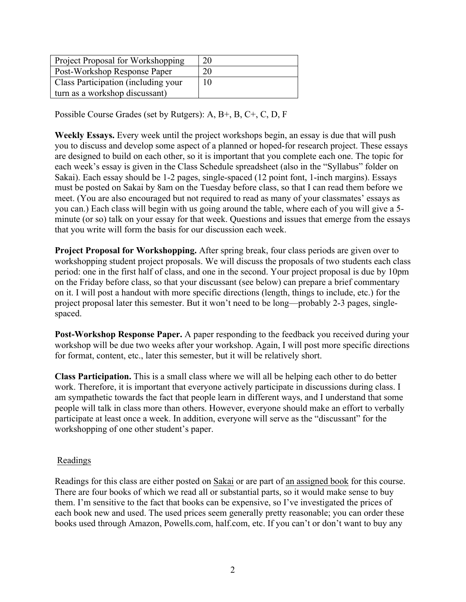| Project Proposal for Workshopping   | 20 |
|-------------------------------------|----|
| Post-Workshop Response Paper        | 20 |
| Class Participation (including your | 10 |
| turn as a workshop discussant)      |    |

Possible Course Grades (set by Rutgers): A, B+, B, C+, C, D, F

**Weekly Essays.** Every week until the project workshops begin, an essay is due that will push you to discuss and develop some aspect of a planned or hoped-for research project. These essays are designed to build on each other, so it is important that you complete each one. The topic for each week's essay is given in the Class Schedule spreadsheet (also in the "Syllabus" folder on Sakai). Each essay should be 1-2 pages, single-spaced (12 point font, 1-inch margins). Essays must be posted on Sakai by 8am on the Tuesday before class, so that I can read them before we meet. (You are also encouraged but not required to read as many of your classmates' essays as you can.) Each class will begin with us going around the table, where each of you will give a 5 minute (or so) talk on your essay for that week. Questions and issues that emerge from the essays that you write will form the basis for our discussion each week.

**Project Proposal for Workshopping.** After spring break, four class periods are given over to workshopping student project proposals. We will discuss the proposals of two students each class period: one in the first half of class, and one in the second. Your project proposal is due by 10pm on the Friday before class, so that your discussant (see below) can prepare a brief commentary on it. I will post a handout with more specific directions (length, things to include, etc.) for the project proposal later this semester. But it won't need to be long—probably 2-3 pages, singlespaced.

**Post-Workshop Response Paper.** A paper responding to the feedback you received during your workshop will be due two weeks after your workshop. Again, I will post more specific directions for format, content, etc., later this semester, but it will be relatively short.

**Class Participation.** This is a small class where we will all be helping each other to do better work. Therefore, it is important that everyone actively participate in discussions during class. I am sympathetic towards the fact that people learn in different ways, and I understand that some people will talk in class more than others. However, everyone should make an effort to verbally participate at least once a week. In addition, everyone will serve as the "discussant" for the workshopping of one other student's paper.

## Readings

Readings for this class are either posted on Sakai or are part of an assigned book for this course. There are four books of which we read all or substantial parts, so it would make sense to buy them. I'm sensitive to the fact that books can be expensive, so I've investigated the prices of each book new and used. The used prices seem generally pretty reasonable; you can order these books used through Amazon, Powells.com, half.com, etc. If you can't or don't want to buy any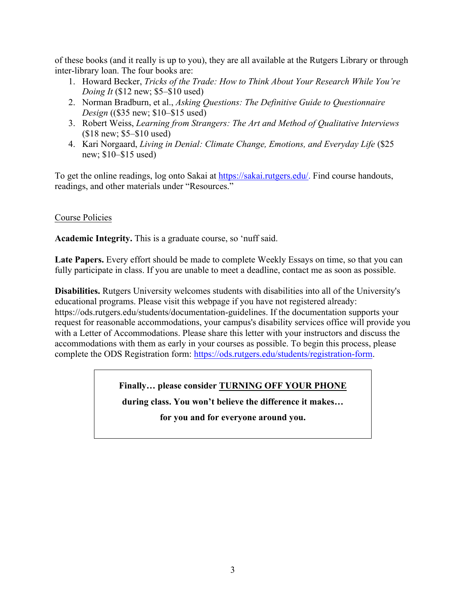of these books (and it really is up to you), they are all available at the Rutgers Library or through inter-library loan. The four books are:

- 1. Howard Becker, *Tricks of the Trade: How to Think About Your Research While You're Doing It* (\$12 new; \$5–\$10 used)
- 2. Norman Bradburn, et al., *Asking Questions: The Definitive Guide to Questionnaire Design* ((\$35 new; \$10–\$15 used)
- 3. Robert Weiss, *Learning from Strangers: The Art and Method of Qualitative Interviews* (\$18 new; \$5–\$10 used)
- 4. Kari Norgaard, *Living in Denial: Climate Change, Emotions, and Everyday Life* (\$25 new; \$10–\$15 used)

To get the online readings, log onto Sakai at https://sakai.rutgers.edu/. Find course handouts, readings, and other materials under "Resources."

## Course Policies

**Academic Integrity.** This is a graduate course, so 'nuff said.

Late Papers. Every effort should be made to complete Weekly Essays on time, so that you can fully participate in class. If you are unable to meet a deadline, contact me as soon as possible.

**Disabilities.** Rutgers University welcomes students with disabilities into all of the University's educational programs. Please visit this webpage if you have not registered already: https://ods.rutgers.edu/students/documentation-guidelines. If the documentation supports your request for reasonable accommodations, your campus's disability services office will provide you with a Letter of Accommodations. Please share this letter with your instructors and discuss the accommodations with them as early in your courses as possible. To begin this process, please complete the ODS Registration form: https://ods.rutgers.edu/students/registration-form.

## **Finally… please consider TURNING OFF YOUR PHONE**

**during class. You won't believe the difference it makes…** 

**for you and for everyone around you.**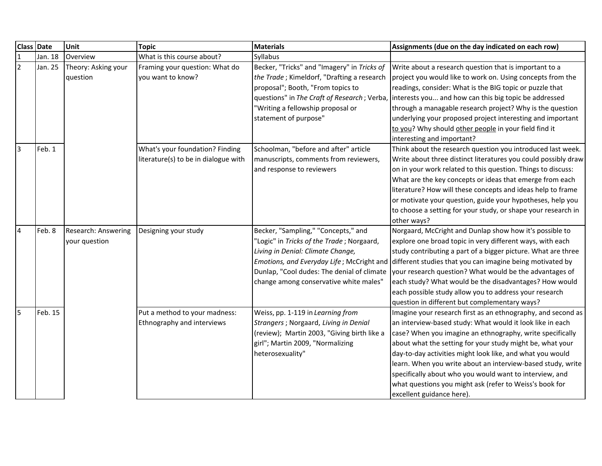| <b>Class Date</b> |         | Unit                | <b>Topic</b>                         | <b>Materials</b>                            | Assignments (due on the day indicated on each row)                                                  |
|-------------------|---------|---------------------|--------------------------------------|---------------------------------------------|-----------------------------------------------------------------------------------------------------|
| $\mathbf 1$       | Jan. 18 | Overview            | What is this course about?           | Syllabus                                    |                                                                                                     |
| $\overline{2}$    | Jan. 25 | Theory: Asking your | Framing your question: What do       | Becker, "Tricks" and "Imagery" in Tricks of | Write about a research question that is important to a                                              |
|                   |         | question            | you want to know?                    | the Trade; Kimeldorf, "Drafting a research  | project you would like to work on. Using concepts from the                                          |
|                   |         |                     |                                      | proposal"; Booth, "From topics to           | readings, consider: What is the BIG topic or puzzle that                                            |
|                   |         |                     |                                      | questions" in The Craft of Research; Verba, | interests you and how can this big topic be addressed                                               |
|                   |         |                     |                                      | "Writing a fellowship proposal or           | through a managable research project? Why is the question                                           |
|                   |         |                     |                                      | statement of purpose"                       | underlying your proposed project interesting and important                                          |
|                   |         |                     |                                      |                                             | to you? Why should other people in your field find it                                               |
|                   |         |                     |                                      |                                             | interesting and important?                                                                          |
| $\vert$ 3         | Feb. 1  |                     | What's your foundation? Finding      | Schoolman, "before and after" article       | Think about the research question you introduced last week.                                         |
|                   |         |                     | literature(s) to be in dialogue with | manuscripts, comments from reviewers,       | Write about three distinct literatures you could possibly draw                                      |
|                   |         |                     |                                      | and response to reviewers                   | on in your work related to this question. Things to discuss:                                        |
|                   |         |                     |                                      |                                             | What are the key concepts or ideas that emerge from each                                            |
|                   |         |                     |                                      |                                             | literature? How will these concepts and ideas help to frame                                         |
|                   |         |                     |                                      |                                             | or motivate your question, guide your hypotheses, help you                                          |
|                   |         |                     |                                      |                                             | to choose a setting for your study, or shape your research in                                       |
|                   |         |                     |                                      |                                             | other ways?                                                                                         |
| $\overline{4}$    | Feb. 8  | Research: Answering | Designing your study                 | Becker, "Sampling," "Concepts," and         | Norgaard, McCright and Dunlap show how it's possible to                                             |
|                   |         | your question       |                                      | "Logic" in Tricks of the Trade; Norgaard,   | explore one broad topic in very different ways, with each                                           |
|                   |         |                     |                                      | Living in Denial: Climate Change,           | study contributing a part of a bigger picture. What are three                                       |
|                   |         |                     |                                      |                                             | Emotions, and Everyday Life; McCright and different studies that you can imagine being motivated by |
|                   |         |                     |                                      | Dunlap, "Cool dudes: The denial of climate  | your research question? What would be the advantages of                                             |
|                   |         |                     |                                      | change among conservative white males"      | each study? What would be the disadvantages? How would                                              |
|                   |         |                     |                                      |                                             | each possible study allow you to address your research                                              |
|                   |         |                     |                                      |                                             | question in different but complementary ways?                                                       |
| $\overline{5}$    | Feb. 15 |                     | Put a method to your madness:        | Weiss, pp. 1-119 in Learning from           | Imagine your research first as an ethnography, and second as                                        |
|                   |         |                     | Ethnography and interviews           | Strangers; Norgaard, Living in Denial       | an interview-based study: What would it look like in each                                           |
|                   |         |                     |                                      | (review); Martin 2003, "Giving birth like a | case? When you imagine an ethnography, write specifically                                           |
|                   |         |                     |                                      | girl"; Martin 2009, "Normalizing            | about what the setting for your study might be, what your                                           |
|                   |         |                     |                                      | heterosexuality"                            | day-to-day activities might look like, and what you would                                           |
|                   |         |                     |                                      |                                             | learn. When you write about an interview-based study, write                                         |
|                   |         |                     |                                      |                                             | specifically about who you would want to interview, and                                             |
|                   |         |                     |                                      |                                             | what questions you might ask (refer to Weiss's book for                                             |
|                   |         |                     |                                      |                                             | excellent guidance here).                                                                           |